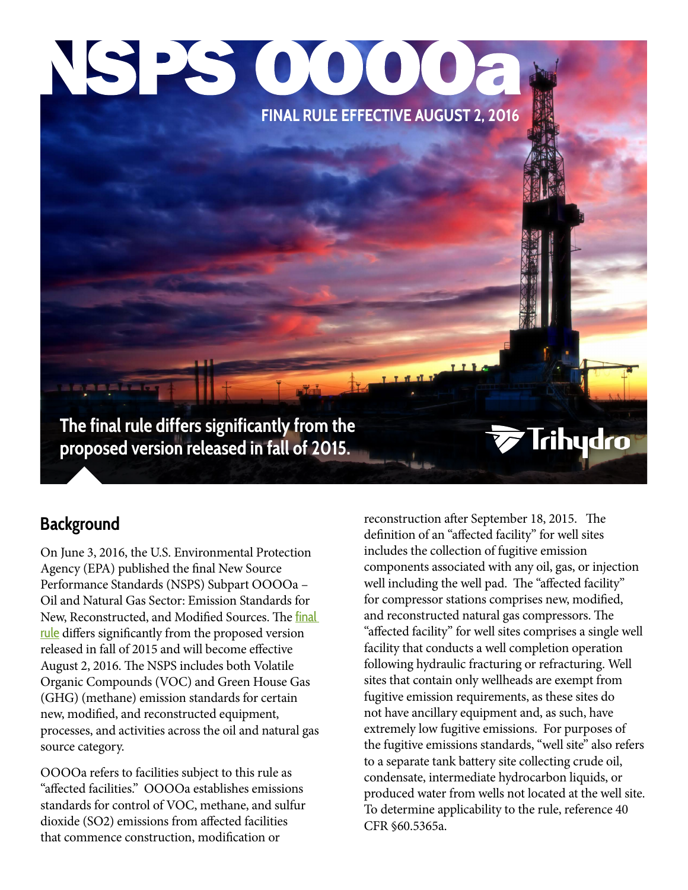## NSPS 0000a **FINAL RULE EFFECTIVE AUGUST 2, 2016**

**The final rule differs significantly from the proposed version released in fall of 2015.**

#### **Background**

On June 3, 2016, the U.S. Environmental Protection Agency (EPA) published the final New Source Performance Standards (NSPS) Subpart OOOOa – Oil and Natural Gas Sector: Emission Standards for New, Reconstructed, and Modified Sources. The [final](https://www.trihydro.com/docs/default-source/default-document-library/trihydro_201606_nsps_ooooa_final.pdf)  [rule](https://www.trihydro.com/docs/default-source/default-document-library/trihydro_201606_nsps_ooooa_final.pdf) differs significantly from the proposed version released in fall of 2015 and will become effective August 2, 2016. The NSPS includes both Volatile Organic Compounds (VOC) and Green House Gas (GHG) (methane) emission standards for certain new, modified, and reconstructed equipment, processes, and activities across the oil and natural gas source category.

OOOOa refers to facilities subject to this rule as "affected facilities." OOOOa establishes emissions standards for control of VOC, methane, and sulfur dioxide (SO2) emissions from affected facilities that commence construction, modification or

reconstruction after September 18, 2015. The definition of an "affected facility" for well sites includes the collection of fugitive emission components associated with any oil, gas, or injection well including the well pad. The "affected facility" for compressor stations comprises new, modified, and reconstructed natural gas compressors. The "affected facility" for well sites comprises a single well facility that conducts a well completion operation following hydraulic fracturing or refracturing. Well sites that contain only wellheads are exempt from fugitive emission requirements, as these sites do not have ancillary equipment and, as such, have extremely low fugitive emissions. For purposes of the fugitive emissions standards, "well site" also refers to a separate tank battery site collecting crude oil, condensate, intermediate hydrocarbon liquids, or produced water from wells not located at the well site. To determine applicability to the rule, reference 40 CFR §60.5365a.

**Trihydro**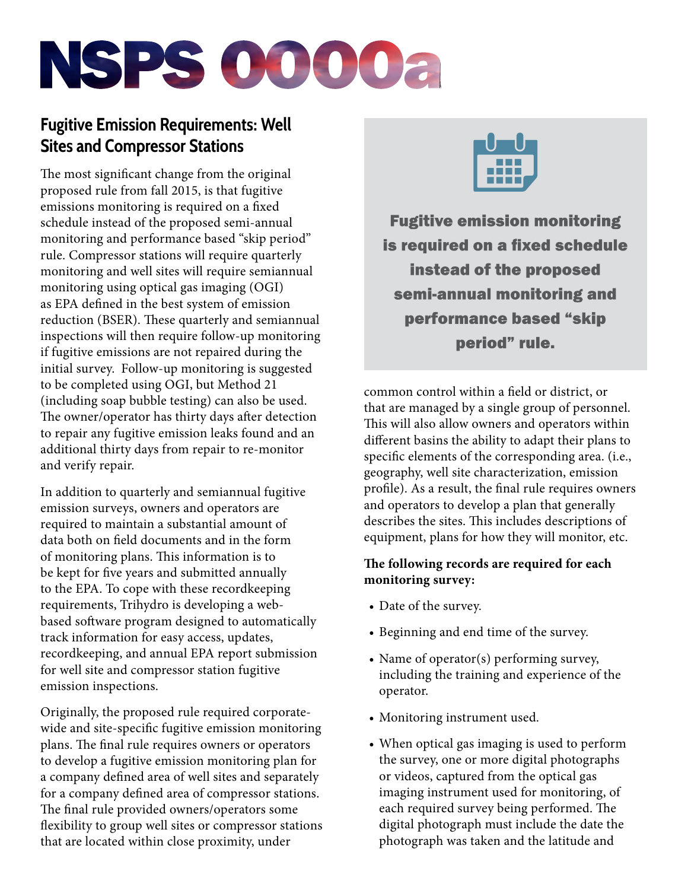# NSPS 0000a

### **Fugitive Emission Requirements: Well Sites and Compressor Stations**

The most significant change from the original proposed rule from fall 2015, is that fugitive emissions monitoring is required on a fixed schedule instead of the proposed semi-annual monitoring and performance based "skip period" rule. Compressor stations will require quarterly monitoring and well sites will require semiannual monitoring using optical gas imaging (OGI) as EPA defined in the best system of emission reduction (BSER). These quarterly and semiannual inspections will then require follow-up monitoring if fugitive emissions are not repaired during the initial survey. Follow-up monitoring is suggested to be completed using OGI, but Method 21 (including soap bubble testing) can also be used. The owner/operator has thirty days after detection to repair any fugitive emission leaks found and an additional thirty days from repair to re-monitor and verify repair.

In addition to quarterly and semiannual fugitive emission surveys, owners and operators are required to maintain a substantial amount of data both on field documents and in the form of monitoring plans. This information is to be kept for five years and submitted annually to the EPA. To cope with these recordkeeping requirements, Trihydro is developing a webbased software program designed to automatically track information for easy access, updates, recordkeeping, and annual EPA report submission for well site and compressor station fugitive emission inspections.

Originally, the proposed rule required corporatewide and site-specific fugitive emission monitoring plans. The final rule requires owners or operators to develop a fugitive emission monitoring plan for a company defined area of well sites and separately for a company defined area of compressor stations. The final rule provided owners/operators some flexibility to group well sites or compressor stations that are located within close proximity, under



**Fugitive emission monitoring** is required on a fixed schedule instead of the proposed semi-annual monitoring and performance based "skip period" rule.

common control within a field or district, or that are managed by a single group of personnel. This will also allow owners and operators within different basins the ability to adapt their plans to specific elements of the corresponding area. (i.e., geography, well site characterization, emission profile). As a result, the final rule requires owners and operators to develop a plan that generally describes the sites. This includes descriptions of equipment, plans for how they will monitor, etc.

#### **The following records are required for each monitoring survey:**

- Date of the survey.
- Beginning and end time of the survey.
- Name of operator(s) performing survey, including the training and experience of the operator.
- Monitoring instrument used.
- When optical gas imaging is used to perform the survey, one or more digital photographs or videos, captured from the optical gas imaging instrument used for monitoring, of each required survey being performed. The digital photograph must include the date the photograph was taken and the latitude and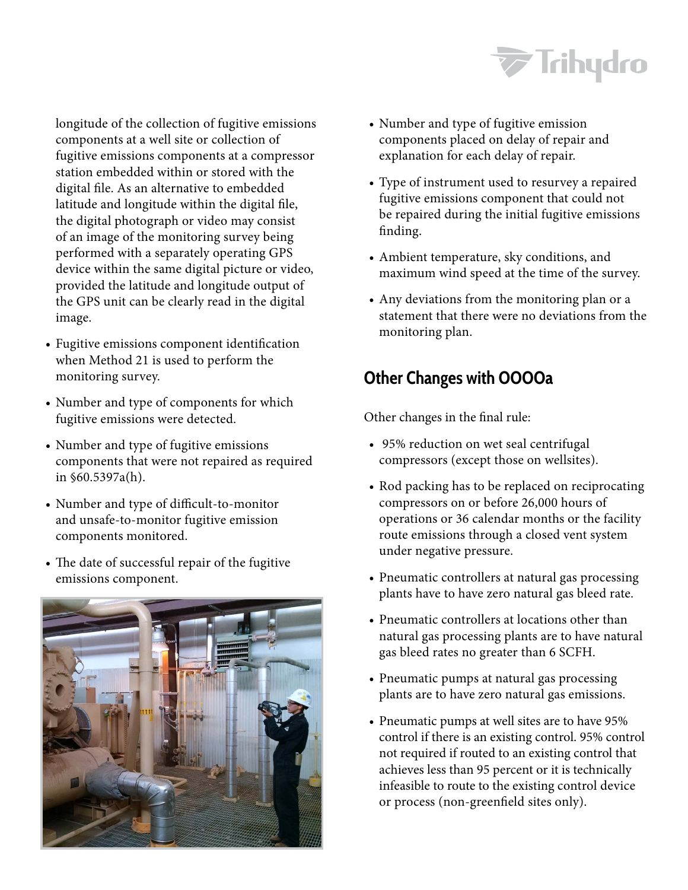

longitude of the collection of fugitive emissions components at a well site or collection of fugitive emissions components at a compressor station embedded within or stored with the digital file. As an alternative to embedded latitude and longitude within the digital file, the digital photograph or video may consist of an image of the monitoring survey being performed with a separately operating GPS device within the same digital picture or video, provided the latitude and longitude output of the GPS unit can be clearly read in the digital image.

- Fugitive emissions component identification when Method 21 is used to perform the monitoring survey.
- Number and type of components for which fugitive emissions were detected.
- Number and type of fugitive emissions components that were not repaired as required in §60.5397a(h).
- Number and type of difficult-to-monitor and unsafe-to-monitor fugitive emission components monitored.
- The date of successful repair of the fugitive emissions component.



- Number and type of fugitive emission components placed on delay of repair and explanation for each delay of repair.
- Type of instrument used to resurvey a repaired fugitive emissions component that could not be repaired during the initial fugitive emissions finding.
- Ambient temperature, sky conditions, and maximum wind speed at the time of the survey.
- Any deviations from the monitoring plan or a statement that there were no deviations from the monitoring plan.

#### **Other Changes with OOOOa**

Other changes in the final rule:

- 95% reduction on wet seal centrifugal compressors (except those on wellsites).
- Rod packing has to be replaced on reciprocating compressors on or before 26,000 hours of operations or 36 calendar months or the facility route emissions through a closed vent system under negative pressure.
- Pneumatic controllers at natural gas processing plants have to have zero natural gas bleed rate.
- Pneumatic controllers at locations other than natural gas processing plants are to have natural gas bleed rates no greater than 6 SCFH.
- Pneumatic pumps at natural gas processing plants are to have zero natural gas emissions.
- Pneumatic pumps at well sites are to have 95% control if there is an existing control. 95% control not required if routed to an existing control that achieves less than 95 percent or it is technically infeasible to route to the existing control device or process (non-greenfield sites only).